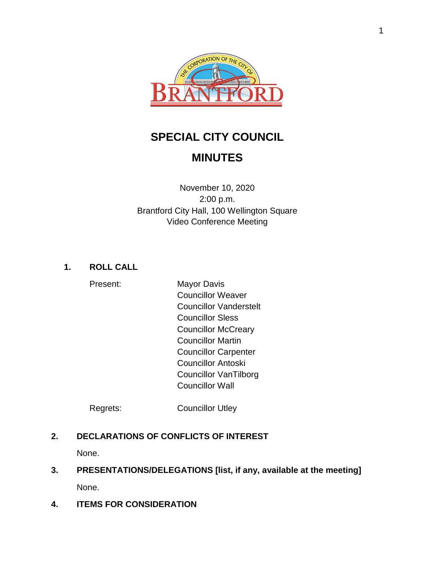

# **SPECIAL CITY COUNCIL**

# **MINUTES**

November 10, 2020 2:00 p.m. Brantford City Hall, 100 Wellington Square Video Conference Meeting

# **1. ROLL CALL**

Present: Mayor Davis Councillor Weaver Councillor Vanderstelt Councillor Sless Councillor McCreary Councillor Martin Councillor Carpenter Councillor Antoski Councillor VanTilborg Councillor Wall

Regrets: Councillor Utley

# **2. DECLARATIONS OF CONFLICTS OF INTEREST**

None.

# **3. PRESENTATIONS/DELEGATIONS [list, if any, available at the meeting]** None.

**4. ITEMS FOR CONSIDERATION**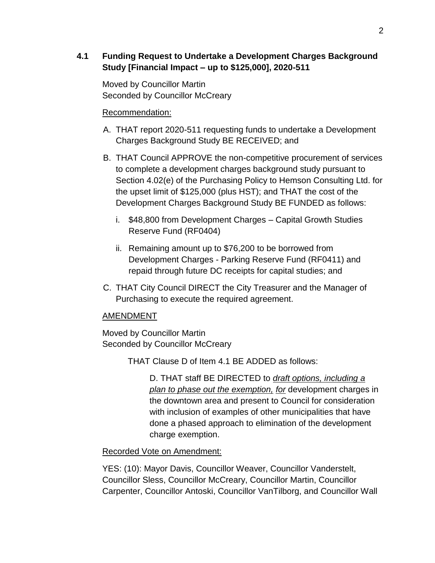#### **4.1 Funding Request to Undertake a Development Charges Background Study [Financial Impact – up to \$125,000], 2020-511**

Moved by Councillor Martin Seconded by Councillor McCreary

#### Recommendation:

- A. THAT report 2020-511 requesting funds to undertake a Development Charges Background Study BE RECEIVED; and
- B. THAT Council APPROVE the non-competitive procurement of services to complete a development charges background study pursuant to Section 4.02(e) of the Purchasing Policy to Hemson Consulting Ltd. for the upset limit of \$125,000 (plus HST); and THAT the cost of the Development Charges Background Study BE FUNDED as follows:
	- i. \$48,800 from Development Charges Capital Growth Studies Reserve Fund (RF0404)
	- ii. Remaining amount up to \$76,200 to be borrowed from Development Charges - Parking Reserve Fund (RF0411) and repaid through future DC receipts for capital studies; and
- C. THAT City Council DIRECT the City Treasurer and the Manager of Purchasing to execute the required agreement.

#### AMENDMENT

Moved by Councillor Martin Seconded by Councillor McCreary

THAT Clause D of Item 4.1 BE ADDED as follows:

D. THAT staff BE DIRECTED to *draft options, including a plan to phase out the exemption, for* development charges in the downtown area and present to Council for consideration with inclusion of examples of other municipalities that have done a phased approach to elimination of the development charge exemption.

#### Recorded Vote on Amendment:

YES: (10): Mayor Davis, Councillor Weaver, Councillor Vanderstelt, Councillor Sless, Councillor McCreary, Councillor Martin, Councillor Carpenter, Councillor Antoski, Councillor VanTilborg, and Councillor Wall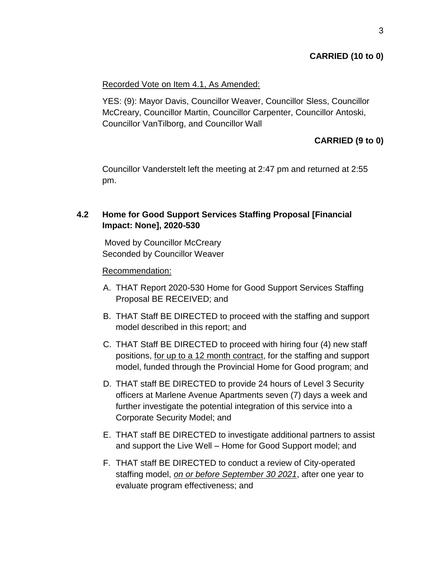#### **CARRIED (10 to 0)**

#### Recorded Vote on Item 4.1, As Amended:

YES: (9): Mayor Davis, Councillor Weaver, Councillor Sless, Councillor McCreary, Councillor Martin, Councillor Carpenter, Councillor Antoski, Councillor VanTilborg, and Councillor Wall

## **CARRIED (9 to 0)**

Councillor Vanderstelt left the meeting at 2:47 pm and returned at 2:55 pm.

## **4.2 Home for Good Support Services Staffing Proposal [Financial Impact: None], 2020-530**

Moved by Councillor McCreary Seconded by Councillor Weaver

#### Recommendation:

- A. THAT Report 2020-530 Home for Good Support Services Staffing Proposal BE RECEIVED; and
- B. THAT Staff BE DIRECTED to proceed with the staffing and support model described in this report; and
- C. THAT Staff BE DIRECTED to proceed with hiring four (4) new staff positions, for up to a 12 month contract, for the staffing and support model, funded through the Provincial Home for Good program; and
- D. THAT staff BE DIRECTED to provide 24 hours of Level 3 Security officers at Marlene Avenue Apartments seven (7) days a week and further investigate the potential integration of this service into a Corporate Security Model; and
- E. THAT staff BE DIRECTED to investigate additional partners to assist and support the Live Well – Home for Good Support model; and
- F. THAT staff BE DIRECTED to conduct a review of City-operated staffing model, *on or before September 30 2021*, after one year to evaluate program effectiveness; and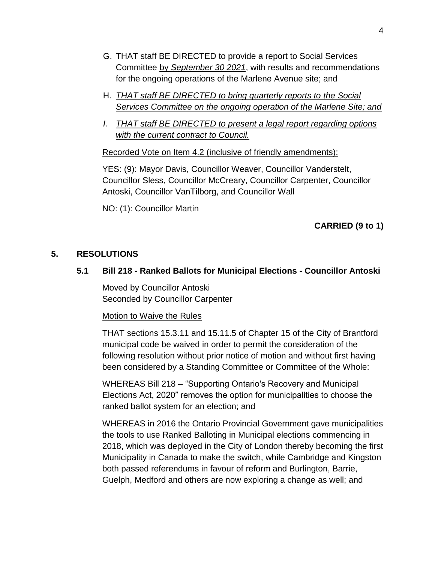- G. THAT staff BE DIRECTED to provide a report to Social Services Committee by *September 30 2021*, with results and recommendations for the ongoing operations of the Marlene Avenue site; and
- H. *THAT staff BE DIRECTED to bring quarterly reports to the Social Services Committee on the ongoing operation of the Marlene Site; and*
- *I. THAT staff BE DIRECTED to present a legal report regarding options with the current contract to Council.*

Recorded Vote on Item 4.2 (inclusive of friendly amendments):

YES: (9): Mayor Davis, Councillor Weaver, Councillor Vanderstelt, Councillor Sless, Councillor McCreary, Councillor Carpenter, Councillor Antoski, Councillor VanTilborg, and Councillor Wall

NO: (1): Councillor Martin

# **CARRIED (9 to 1)**

#### **5. RESOLUTIONS**

#### **5.1 Bill 218 - Ranked Ballots for Municipal Elections - Councillor Antoski**

Moved by Councillor Antoski Seconded by Councillor Carpenter

#### Motion to Waive the Rules

THAT sections 15.3.11 and 15.11.5 of Chapter 15 of the City of Brantford municipal code be waived in order to permit the consideration of the following resolution without prior notice of motion and without first having been considered by a Standing Committee or Committee of the Whole:

WHEREAS Bill 218 – "Supporting Ontario's Recovery and Municipal Elections Act, 2020" removes the option for municipalities to choose the ranked ballot system for an election; and

WHEREAS in 2016 the Ontario Provincial Government gave municipalities the tools to use Ranked Balloting in Municipal elections commencing in 2018, which was deployed in the City of London thereby becoming the first Municipality in Canada to make the switch, while Cambridge and Kingston both passed referendums in favour of reform and Burlington, Barrie, Guelph, Medford and others are now exploring a change as well; and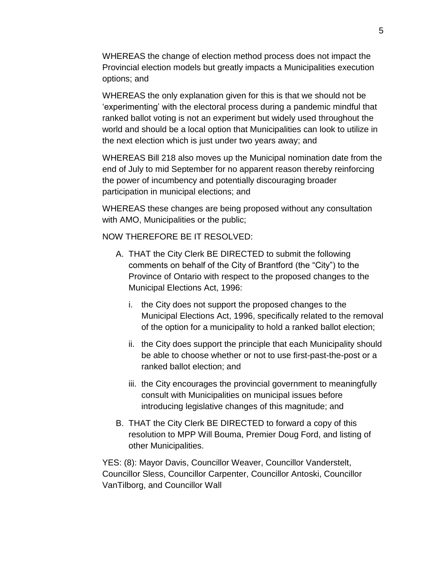WHEREAS the change of election method process does not impact the Provincial election models but greatly impacts a Municipalities execution options; and

WHEREAS the only explanation given for this is that we should not be 'experimenting' with the electoral process during a pandemic mindful that ranked ballot voting is not an experiment but widely used throughout the world and should be a local option that Municipalities can look to utilize in the next election which is just under two years away; and

WHEREAS Bill 218 also moves up the Municipal nomination date from the end of July to mid September for no apparent reason thereby reinforcing the power of incumbency and potentially discouraging broader participation in municipal elections; and

WHEREAS these changes are being proposed without any consultation with AMO, Municipalities or the public;

NOW THEREFORE BE IT RESOLVED:

- A. THAT the City Clerk BE DIRECTED to submit the following comments on behalf of the City of Brantford (the "City") to the Province of Ontario with respect to the proposed changes to the Municipal Elections Act, 1996:
	- i. the City does not support the proposed changes to the Municipal Elections Act, 1996, specifically related to the removal of the option for a municipality to hold a ranked ballot election;
	- ii. the City does support the principle that each Municipality should be able to choose whether or not to use first-past-the-post or a ranked ballot election; and
	- iii. the City encourages the provincial government to meaningfully consult with Municipalities on municipal issues before introducing legislative changes of this magnitude; and
- B. THAT the City Clerk BE DIRECTED to forward a copy of this resolution to MPP Will Bouma, Premier Doug Ford, and listing of other Municipalities.

YES: (8): Mayor Davis, Councillor Weaver, Councillor Vanderstelt, Councillor Sless, Councillor Carpenter, Councillor Antoski, Councillor VanTilborg, and Councillor Wall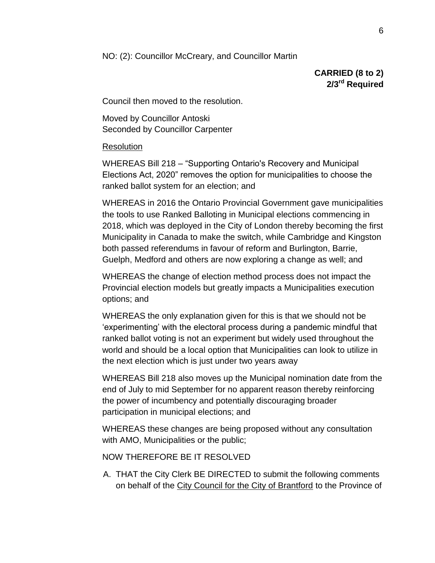NO: (2): Councillor McCreary, and Councillor Martin

**CARRIED (8 to 2) 2/3rd Required**

Council then moved to the resolution.

Moved by Councillor Antoski Seconded by Councillor Carpenter

#### Resolution

WHEREAS Bill 218 – "Supporting Ontario's Recovery and Municipal Elections Act, 2020" removes the option for municipalities to choose the ranked ballot system for an election; and

WHEREAS in 2016 the Ontario Provincial Government gave municipalities the tools to use Ranked Balloting in Municipal elections commencing in 2018, which was deployed in the City of London thereby becoming the first Municipality in Canada to make the switch, while Cambridge and Kingston both passed referendums in favour of reform and Burlington, Barrie, Guelph, Medford and others are now exploring a change as well; and

WHEREAS the change of election method process does not impact the Provincial election models but greatly impacts a Municipalities execution options; and

WHEREAS the only explanation given for this is that we should not be 'experimenting' with the electoral process during a pandemic mindful that ranked ballot voting is not an experiment but widely used throughout the world and should be a local option that Municipalities can look to utilize in the next election which is just under two years away

WHEREAS Bill 218 also moves up the Municipal nomination date from the end of July to mid September for no apparent reason thereby reinforcing the power of incumbency and potentially discouraging broader participation in municipal elections; and

WHEREAS these changes are being proposed without any consultation with AMO, Municipalities or the public;

NOW THEREFORE BE IT RESOLVED

A. THAT the City Clerk BE DIRECTED to submit the following comments on behalf of the City Council for the City of Brantford to the Province of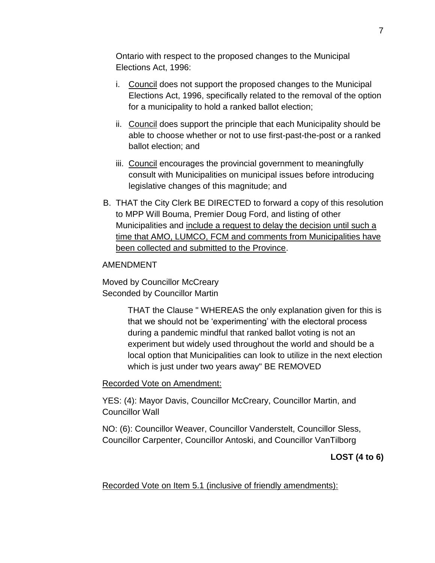Ontario with respect to the proposed changes to the Municipal Elections Act, 1996:

- i. Council does not support the proposed changes to the Municipal Elections Act, 1996, specifically related to the removal of the option for a municipality to hold a ranked ballot election;
- ii. Council does support the principle that each Municipality should be able to choose whether or not to use first-past-the-post or a ranked ballot election; and
- iii. Council encourages the provincial government to meaningfully consult with Municipalities on municipal issues before introducing legislative changes of this magnitude; and
- B. THAT the City Clerk BE DIRECTED to forward a copy of this resolution to MPP Will Bouma, Premier Doug Ford, and listing of other Municipalities and include a request to delay the decision until such a time that AMO, LUMCO, FCM and comments from Municipalities have been collected and submitted to the Province.

#### AMENDMENT

Moved by Councillor McCreary Seconded by Councillor Martin

> THAT the Clause " WHEREAS the only explanation given for this is that we should not be 'experimenting' with the electoral process during a pandemic mindful that ranked ballot voting is not an experiment but widely used throughout the world and should be a local option that Municipalities can look to utilize in the next election which is just under two years away" BE REMOVED

Recorded Vote on Amendment:

YES: (4): Mayor Davis, Councillor McCreary, Councillor Martin, and Councillor Wall

NO: (6): Councillor Weaver, Councillor Vanderstelt, Councillor Sless, Councillor Carpenter, Councillor Antoski, and Councillor VanTilborg

**LOST (4 to 6)**

Recorded Vote on Item 5.1 (inclusive of friendly amendments):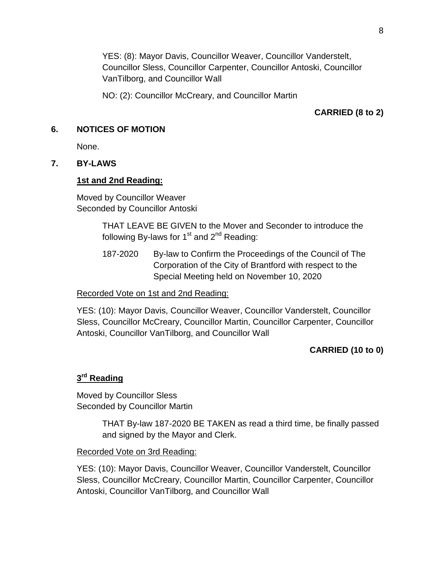YES: (8): Mayor Davis, Councillor Weaver, Councillor Vanderstelt, Councillor Sless, Councillor Carpenter, Councillor Antoski, Councillor VanTilborg, and Councillor Wall

NO: (2): Councillor McCreary, and Councillor Martin

## **CARRIED (8 to 2)**

#### **6. NOTICES OF MOTION**

None.

#### **7. BY-LAWS**

#### **1st and 2nd Reading:**

Moved by Councillor Weaver Seconded by Councillor Antoski

> THAT LEAVE BE GIVEN to the Mover and Seconder to introduce the following By-laws for  $1<sup>st</sup>$  and  $2<sup>nd</sup>$  Reading:

> 187-2020 By-law to Confirm the Proceedings of the Council of The Corporation of the City of Brantford with respect to the Special Meeting held on November 10, 2020

Recorded Vote on 1st and 2nd Reading:

YES: (10): Mayor Davis, Councillor Weaver, Councillor Vanderstelt, Councillor Sless, Councillor McCreary, Councillor Martin, Councillor Carpenter, Councillor Antoski, Councillor VanTilborg, and Councillor Wall

#### **CARRIED (10 to 0)**

#### **3 rd Reading**

Moved by Councillor Sless Seconded by Councillor Martin

> THAT By-law 187-2020 BE TAKEN as read a third time, be finally passed and signed by the Mayor and Clerk.

#### Recorded Vote on 3rd Reading:

YES: (10): Mayor Davis, Councillor Weaver, Councillor Vanderstelt, Councillor Sless, Councillor McCreary, Councillor Martin, Councillor Carpenter, Councillor Antoski, Councillor VanTilborg, and Councillor Wall